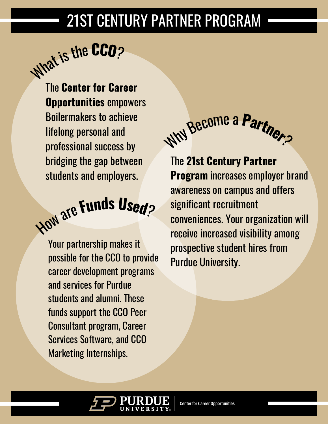# 21ST CENTURY PARTNER PROGRAM

<sup>W</sup>ha<sup>t</sup> <sup>i</sup>sth<sup>e</sup> **<sup>C</sup>CO**?

The **Center for Career [Opportunities](https://www.cco.purdue.edu/)** empowers Boilermakers to achieve lifelong personal and professional success by bridging the gap between students and employers.

# <sup>H</sup>o<sup>w</sup> <sup>a</sup>r<sup>e</sup> **<sup>F</sup>und<sup>s</sup> <sup>U</sup>sed**?

Your partnership makes it possible for the CCO to provide career development programs and services for Purdue students and alumni. These funds support the CCO Peer Consultant program, Career Services Software, and CCO Marketing Internships.



The **21st Century Partner [Program](https://www.cco.purdue.edu/Employers/21stCenturyPartnersProgram)** increases employer brand awareness on campus and offers significant recruitment conveniences. Your organization will receive increased visibility among prospective student hires from Purdue University.